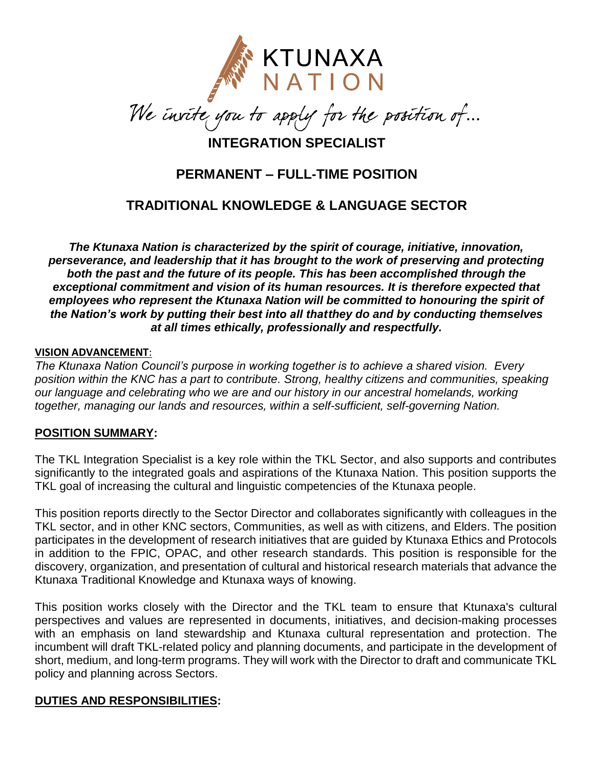

 $\overline{a}$ 

**INTEGRATION SPECIALIST**

# **PERMANENT – FULL-TIME POSITION**

# **TRADITIONAL KNOWLEDGE & LANGUAGE SECTOR**

*The Ktunaxa Nation is characterized by the spirit of courage, initiative, innovation, perseverance, and leadership that it has brought to the work of preserving and protecting both the past and the future of its people. This has been accomplished through the exceptional commitment and vision of its human resources. It is therefore expected that employees who represent the Ktunaxa Nation will be committed to honouring the spirit of the Nation's work by putting their best into all thatthey do and by conducting themselves at all times ethically, professionally and respectfully.*

#### **VISION ADVANCEMENT**:

*The Ktunaxa Nation Council's purpose in working together is to achieve a shared vision. Every position within the KNC has a part to contribute. Strong, healthy citizens and communities, speaking our language and celebrating who we are and our history in our ancestral homelands, working together, managing our lands and resources, within a self-sufficient, self-governing Nation.*

#### **POSITION SUMMARY:**

The TKL Integration Specialist is a key role within the TKL Sector, and also supports and contributes significantly to the integrated goals and aspirations of the Ktunaxa Nation. This position supports the TKL goal of increasing the cultural and linguistic competencies of the Ktunaxa people.

This position reports directly to the Sector Director and collaborates significantly with colleagues in the TKL sector, and in other KNC sectors, Communities, as well as with citizens, and Elders. The position participates in the development of research initiatives that are guided by Ktunaxa Ethics and Protocols in addition to the FPIC, OPAC, and other research standards. This position is responsible for the discovery, organization, and presentation of cultural and historical research materials that advance the Ktunaxa Traditional Knowledge and Ktunaxa ways of knowing.

This position works closely with the Director and the TKL team to ensure that Ktunaxa's cultural perspectives and values are represented in documents, initiatives, and decision-making processes with an emphasis on land stewardship and Ktunaxa cultural representation and protection. The incumbent will draft TKL-related policy and planning documents, and participate in the development of short, medium, and long-term programs. They will work with the Director to draft and communicate TKL policy and planning across Sectors.

#### **DUTIES AND RESPONSIBILITIES:**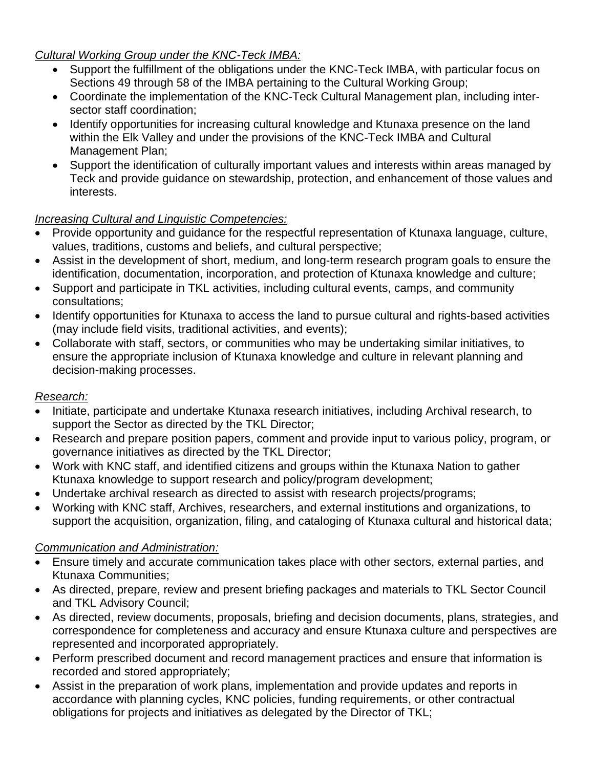#### *Cultural Working Group under the KNC-Teck IMBA:*

- Support the fulfillment of the obligations under the KNC-Teck IMBA, with particular focus on Sections 49 through 58 of the IMBA pertaining to the Cultural Working Group;
- Coordinate the implementation of the KNC-Teck Cultural Management plan, including intersector staff coordination;
- Identify opportunities for increasing cultural knowledge and Ktunaxa presence on the land within the Elk Valley and under the provisions of the KNC-Teck IMBA and Cultural Management Plan;
- Support the identification of culturally important values and interests within areas managed by Teck and provide guidance on stewardship, protection, and enhancement of those values and interests.

## *Increasing Cultural and Linguistic Competencies:*

- Provide opportunity and guidance for the respectful representation of Ktunaxa language, culture, values, traditions, customs and beliefs, and cultural perspective;
- Assist in the development of short, medium, and long-term research program goals to ensure the identification, documentation, incorporation, and protection of Ktunaxa knowledge and culture;
- Support and participate in TKL activities, including cultural events, camps, and community consultations;
- Identify opportunities for Ktunaxa to access the land to pursue cultural and rights-based activities (may include field visits, traditional activities, and events);
- Collaborate with staff, sectors, or communities who may be undertaking similar initiatives, to ensure the appropriate inclusion of Ktunaxa knowledge and culture in relevant planning and decision-making processes.

## *Research:*

- Initiate, participate and undertake Ktunaxa research initiatives, including Archival research, to support the Sector as directed by the TKL Director;
- Research and prepare position papers, comment and provide input to various policy, program, or governance initiatives as directed by the TKL Director;
- Work with KNC staff, and identified citizens and groups within the Ktunaxa Nation to gather Ktunaxa knowledge to support research and policy/program development;
- Undertake archival research as directed to assist with research projects/programs;
- Working with KNC staff, Archives, researchers, and external institutions and organizations, to support the acquisition, organization, filing, and cataloging of Ktunaxa cultural and historical data;

## *Communication and Administration:*

- Ensure timely and accurate communication takes place with other sectors, external parties, and Ktunaxa Communities;
- As directed, prepare, review and present briefing packages and materials to TKL Sector Council and TKL Advisory Council;
- As directed, review documents, proposals, briefing and decision documents, plans, strategies, and correspondence for completeness and accuracy and ensure Ktunaxa culture and perspectives are represented and incorporated appropriately.
- Perform prescribed document and record management practices and ensure that information is recorded and stored appropriately;
- Assist in the preparation of work plans, implementation and provide updates and reports in accordance with planning cycles, KNC policies, funding requirements, or other contractual obligations for projects and initiatives as delegated by the Director of TKL;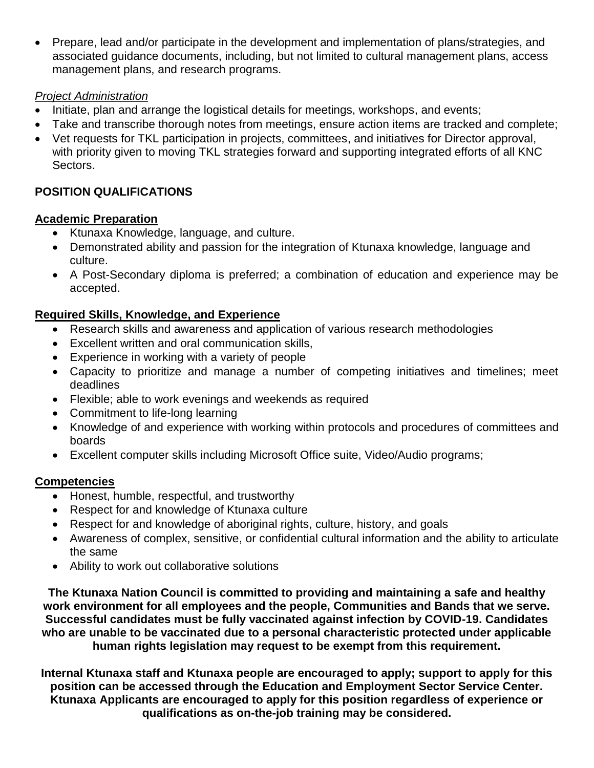Prepare, lead and/or participate in the development and implementation of plans/strategies, and associated guidance documents, including, but not limited to cultural management plans, access management plans, and research programs.

#### *Project Administration*

- Initiate, plan and arrange the logistical details for meetings, workshops, and events;
- Take and transcribe thorough notes from meetings, ensure action items are tracked and complete;
- Vet requests for TKL participation in projects, committees, and initiatives for Director approval, with priority given to moving TKL strategies forward and supporting integrated efforts of all KNC Sectors.

# **POSITION QUALIFICATIONS**

#### **Academic Preparation**

- Ktunaxa Knowledge, language, and culture.
- Demonstrated ability and passion for the integration of Ktunaxa knowledge, language and culture.
- A Post-Secondary diploma is preferred; a combination of education and experience may be accepted.

# **Required Skills, Knowledge, and Experience**

- Research skills and awareness and application of various research methodologies
- Excellent written and oral communication skills,
- Experience in working with a variety of people
- Capacity to prioritize and manage a number of competing initiatives and timelines; meet deadlines
- Flexible; able to work evenings and weekends as required
- Commitment to life-long learning
- Knowledge of and experience with working within protocols and procedures of committees and boards
- Excellent computer skills including Microsoft Office suite, Video/Audio programs;

## **Competencies**

- Honest, humble, respectful, and trustworthy
- Respect for and knowledge of Ktunaxa culture
- Respect for and knowledge of aboriginal rights, culture, history, and goals
- Awareness of complex, sensitive, or confidential cultural information and the ability to articulate the same
- Ability to work out collaborative solutions

**The Ktunaxa Nation Council is committed to providing and maintaining a safe and healthy work environment for all employees and the people, Communities and Bands that we serve. Successful candidates must be fully vaccinated against infection by COVID-19. Candidates who are unable to be vaccinated due to a personal characteristic protected under applicable human rights legislation may request to be exempt from this requirement.**

**Internal Ktunaxa staff and Ktunaxa people are encouraged to apply; support to apply for this position can be accessed through the Education and Employment Sector Service Center. Ktunaxa Applicants are encouraged to apply for this position regardless of experience or qualifications as on-the-job training may be considered.**